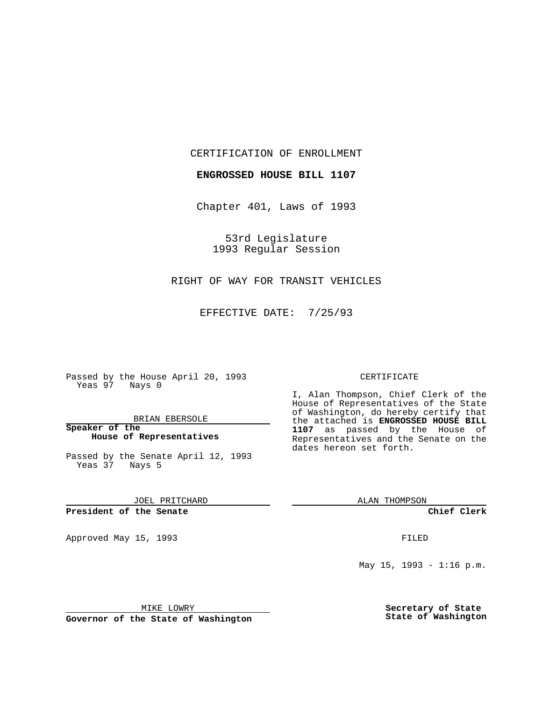CERTIFICATION OF ENROLLMENT

**ENGROSSED HOUSE BILL 1107**

Chapter 401, Laws of 1993

53rd Legislature 1993 Regular Session

## RIGHT OF WAY FOR TRANSIT VEHICLES

EFFECTIVE DATE: 7/25/93

Passed by the House April 20, 1993 Yeas 97 Nays 0

BRIAN EBERSOLE

**Speaker of the House of Representatives**

Passed by the Senate April 12, 1993 Yeas 37 Nays 5

JOEL PRITCHARD

## **President of the Senate**

Approved May 15, 1993 **FILED** 

## CERTIFICATE

I, Alan Thompson, Chief Clerk of the House of Representatives of the State of Washington, do hereby certify that the attached is **ENGROSSED HOUSE BILL 1107** as passed by the House of Representatives and the Senate on the dates hereon set forth.

ALAN THOMPSON

**Chief Clerk**

May  $15$ ,  $1993 - 1:16$  p.m.

MIKE LOWRY

**Governor of the State of Washington**

**Secretary of State State of Washington**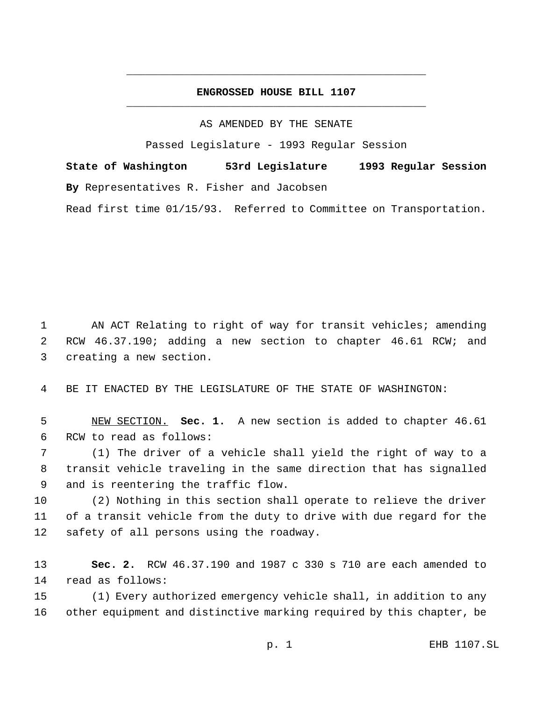## **ENGROSSED HOUSE BILL 1107** \_\_\_\_\_\_\_\_\_\_\_\_\_\_\_\_\_\_\_\_\_\_\_\_\_\_\_\_\_\_\_\_\_\_\_\_\_\_\_\_\_\_\_\_\_\_\_

\_\_\_\_\_\_\_\_\_\_\_\_\_\_\_\_\_\_\_\_\_\_\_\_\_\_\_\_\_\_\_\_\_\_\_\_\_\_\_\_\_\_\_\_\_\_\_

AS AMENDED BY THE SENATE

Passed Legislature - 1993 Regular Session

**State of Washington 53rd Legislature 1993 Regular Session By** Representatives R. Fisher and Jacobsen

Read first time 01/15/93. Referred to Committee on Transportation.

 AN ACT Relating to right of way for transit vehicles; amending RCW 46.37.190; adding a new section to chapter 46.61 RCW; and creating a new section.

BE IT ENACTED BY THE LEGISLATURE OF THE STATE OF WASHINGTON:

 NEW SECTION. **Sec. 1.** A new section is added to chapter 46.61 RCW to read as follows:

 (1) The driver of a vehicle shall yield the right of way to a transit vehicle traveling in the same direction that has signalled and is reentering the traffic flow.

 (2) Nothing in this section shall operate to relieve the driver of a transit vehicle from the duty to drive with due regard for the safety of all persons using the roadway.

 **Sec. 2.** RCW 46.37.190 and 1987 c 330 s 710 are each amended to read as follows:

 (1) Every authorized emergency vehicle shall, in addition to any other equipment and distinctive marking required by this chapter, be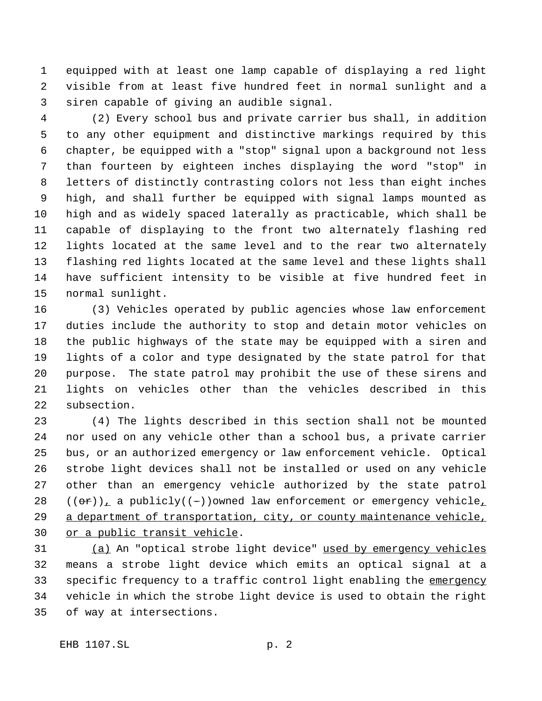equipped with at least one lamp capable of displaying a red light visible from at least five hundred feet in normal sunlight and a siren capable of giving an audible signal.

 (2) Every school bus and private carrier bus shall, in addition to any other equipment and distinctive markings required by this chapter, be equipped with a "stop" signal upon a background not less than fourteen by eighteen inches displaying the word "stop" in letters of distinctly contrasting colors not less than eight inches high, and shall further be equipped with signal lamps mounted as high and as widely spaced laterally as practicable, which shall be capable of displaying to the front two alternately flashing red lights located at the same level and to the rear two alternately flashing red lights located at the same level and these lights shall have sufficient intensity to be visible at five hundred feet in normal sunlight.

 (3) Vehicles operated by public agencies whose law enforcement duties include the authority to stop and detain motor vehicles on the public highways of the state may be equipped with a siren and lights of a color and type designated by the state patrol for that purpose. The state patrol may prohibit the use of these sirens and lights on vehicles other than the vehicles described in this subsection.

 (4) The lights described in this section shall not be mounted nor used on any vehicle other than a school bus, a private carrier bus, or an authorized emergency or law enforcement vehicle. Optical strobe light devices shall not be installed or used on any vehicle other than an emergency vehicle authorized by the state patrol  $((or))_+$  a publicly((-))owned law enforcement or emergency vehicle<sub>t</sub> 29 a department of transportation, city, or county maintenance vehicle, 30 or a public transit vehicle.

31 (a) An "optical strobe light device" used by emergency vehicles means a strobe light device which emits an optical signal at a 33 specific frequency to a traffic control light enabling the emergency vehicle in which the strobe light device is used to obtain the right of way at intersections.

 $EHB$  1107.SL

$$
p. \ 2
$$